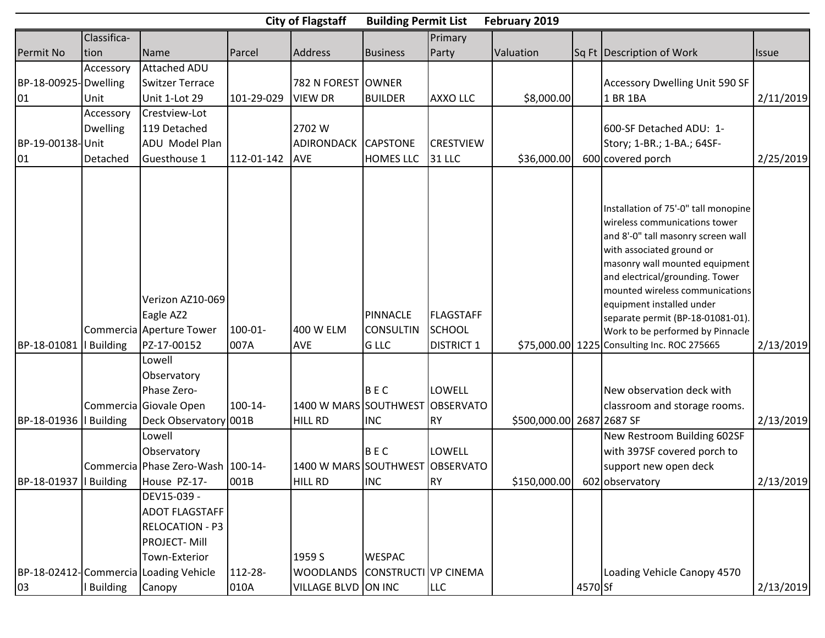|                        |                 |                                                                                                                                          |                 | <b>City of Flagstaff</b>                | <b>Building Permit List</b>                         |                                                 | February 2019             |         |                                                                                                                                                                                                                                                                                                                                                                                                       |              |
|------------------------|-----------------|------------------------------------------------------------------------------------------------------------------------------------------|-----------------|-----------------------------------------|-----------------------------------------------------|-------------------------------------------------|---------------------------|---------|-------------------------------------------------------------------------------------------------------------------------------------------------------------------------------------------------------------------------------------------------------------------------------------------------------------------------------------------------------------------------------------------------------|--------------|
|                        | Classifica-     |                                                                                                                                          |                 |                                         |                                                     | Primary                                         |                           |         |                                                                                                                                                                                                                                                                                                                                                                                                       |              |
| Permit No              | tion            | Name                                                                                                                                     | Parcel          | Address                                 | <b>Business</b>                                     | Party                                           | Valuation                 |         | Sq Ft Description of Work                                                                                                                                                                                                                                                                                                                                                                             | <b>Issue</b> |
|                        | Accessory       | <b>Attached ADU</b>                                                                                                                      |                 |                                         |                                                     |                                                 |                           |         |                                                                                                                                                                                                                                                                                                                                                                                                       |              |
| BP-18-00925- Dwelling  |                 | <b>Switzer Terrace</b>                                                                                                                   |                 | 782 N FOREST OWNER                      |                                                     |                                                 |                           |         | <b>Accessory Dwelling Unit 590 SF</b>                                                                                                                                                                                                                                                                                                                                                                 |              |
| 01                     | Unit            | Unit 1-Lot 29                                                                                                                            | 101-29-029      | <b>VIEW DR</b>                          | <b>BUILDER</b>                                      | <b>AXXO LLC</b>                                 | \$8,000.00                |         | 1 BR 1BA                                                                                                                                                                                                                                                                                                                                                                                              | 2/11/2019    |
|                        | Accessory       | Crestview-Lot                                                                                                                            |                 |                                         |                                                     |                                                 |                           |         |                                                                                                                                                                                                                                                                                                                                                                                                       |              |
|                        | <b>Dwelling</b> | 119 Detached                                                                                                                             |                 | 2702 W                                  |                                                     |                                                 |                           |         | 600-SF Detached ADU: 1-                                                                                                                                                                                                                                                                                                                                                                               |              |
| BP-19-00138-Unit       |                 | ADU Model Plan                                                                                                                           |                 | <b>ADIRONDACK</b>                       | <b>CAPSTONE</b>                                     | <b>CRESTVIEW</b>                                |                           |         | Story; 1-BR.; 1-BA.; 64SF-                                                                                                                                                                                                                                                                                                                                                                            |              |
| 01                     | Detached        | Guesthouse 1                                                                                                                             | 112-01-142      | <b>AVE</b>                              | HOMES LLC                                           | 31 LLC                                          | \$36,000.00               |         | 600 covered porch                                                                                                                                                                                                                                                                                                                                                                                     | 2/25/2019    |
| BP-18-01081            | <b>Building</b> | Verizon AZ10-069<br>Eagle AZ2<br>Commercia Aperture Tower<br>PZ-17-00152                                                                 | 100-01-<br>007A | 400 W ELM<br><b>AVE</b>                 | <b>PINNACLE</b><br><b>CONSULTIN</b><br><b>G LLC</b> | <b>FLAGSTAFF</b><br>SCHOOL<br><b>DISTRICT 1</b> |                           |         | Installation of 75'-0" tall monopine<br>wireless communications tower<br>and 8'-0" tall masonry screen wall<br>with associated ground or<br>masonry wall mounted equipment<br>and electrical/grounding. Tower<br>mounted wireless communications<br>equipment installed under<br>separate permit (BP-18-01081-01).<br>Work to be performed by Pinnacle<br>\$75,000.00 1225 Consulting Inc. ROC 275665 | 2/13/2019    |
| BP-18-01936   Building |                 | Lowell<br>Observatory<br>Phase Zero-<br>Commercia Giovale Open<br>Deck Observatory 001B<br>Lowell                                        | 100-14-         | 1400 W MARS SOUTHWEST<br><b>HILL RD</b> | BEC<br><b>INC</b>                                   | LOWELL<br><b>OBSERVATO</b><br><b>R</b> Y        | \$500,000.00 2687 2687 SF |         | New observation deck with<br>classroom and storage rooms.<br>New Restroom Building 602SF                                                                                                                                                                                                                                                                                                              | 2/13/2019    |
|                        |                 | Observatory                                                                                                                              |                 |                                         | BEC                                                 | LOWELL                                          |                           |         | with 397SF covered porch to                                                                                                                                                                                                                                                                                                                                                                           |              |
|                        |                 | Commercia Phase Zero-Wash 100-14-                                                                                                        |                 | 1400 W MARS SOUTHWEST                   |                                                     | <b>OBSERVATO</b>                                |                           |         | support new open deck                                                                                                                                                                                                                                                                                                                                                                                 |              |
|                        |                 | BP-18-01937   Building   House PZ-17-                                                                                                    | 001B            | <b>HILL RD</b>                          | <b>INC</b>                                          | RY)                                             |                           |         | \$150,000.00 602 observatory                                                                                                                                                                                                                                                                                                                                                                          | 2/13/2019    |
|                        |                 | DEV15-039 -<br><b>ADOT FLAGSTAFF</b><br>RELOCATION - P3<br><b>PROJECT-Mill</b><br>Town-Exterior<br>BP-18-02412-Commercia Loading Vehicle | 112-28-         | 1959 S<br><b>WOODLANDS</b>              | <b>WESPAC</b><br>CONSTRUCTI VP CINEMA               |                                                 |                           |         | Loading Vehicle Canopy 4570                                                                                                                                                                                                                                                                                                                                                                           |              |
| 03                     | <b>Building</b> | Canopy                                                                                                                                   | 010A            | VILLAGE BLVD ON INC                     |                                                     | <b>LLC</b>                                      |                           | 4570 Sf |                                                                                                                                                                                                                                                                                                                                                                                                       | 2/13/2019    |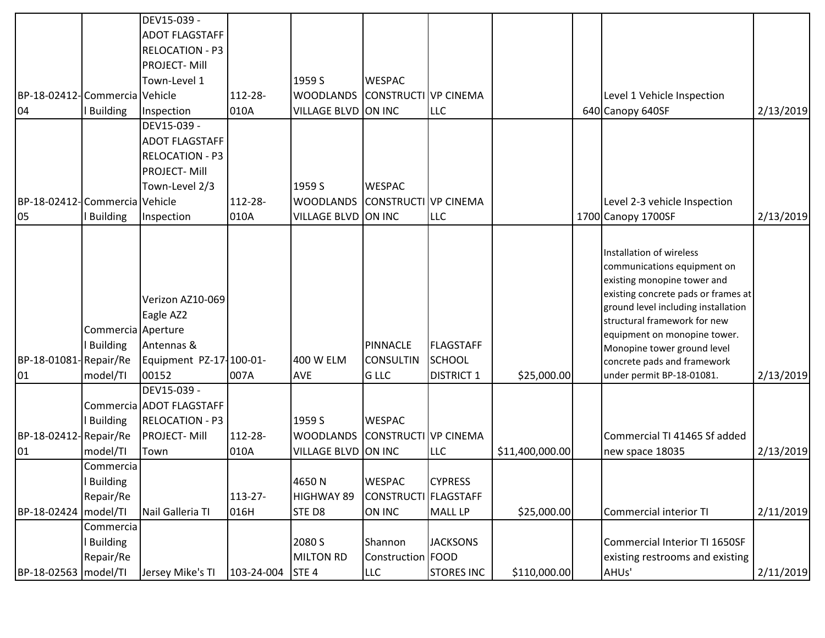|                               |                                                   | DEV15-039 -                                                                                      |                 |                                                   |                                                    |                                          |                 |                                                                                                                                                                                                                                                                                                                                 |           |
|-------------------------------|---------------------------------------------------|--------------------------------------------------------------------------------------------------|-----------------|---------------------------------------------------|----------------------------------------------------|------------------------------------------|-----------------|---------------------------------------------------------------------------------------------------------------------------------------------------------------------------------------------------------------------------------------------------------------------------------------------------------------------------------|-----------|
|                               |                                                   | <b>ADOT FLAGSTAFF</b>                                                                            |                 |                                                   |                                                    |                                          |                 |                                                                                                                                                                                                                                                                                                                                 |           |
|                               |                                                   | <b>RELOCATION - P3</b>                                                                           |                 |                                                   |                                                    |                                          |                 |                                                                                                                                                                                                                                                                                                                                 |           |
|                               |                                                   | <b>PROJECT-Mill</b>                                                                              |                 |                                                   |                                                    |                                          |                 |                                                                                                                                                                                                                                                                                                                                 |           |
|                               |                                                   | Town-Level 1                                                                                     |                 | 1959 S                                            | <b>WESPAC</b>                                      |                                          |                 |                                                                                                                                                                                                                                                                                                                                 |           |
| BP-18-02412-Commercia Vehicle |                                                   |                                                                                                  | 112-28-         | <b>WOODLANDS</b>                                  | CONSTRUCTIVP CINEMA                                |                                          |                 | Level 1 Vehicle Inspection                                                                                                                                                                                                                                                                                                      |           |
| 04                            | <b>Building</b>                                   | Inspection                                                                                       | 010A            | <b>VILLAGE BLVD</b>                               | ON INC                                             | <b>LLC</b>                               |                 | 640 Canopy 640SF                                                                                                                                                                                                                                                                                                                | 2/13/2019 |
|                               |                                                   | DEV15-039 -                                                                                      |                 |                                                   |                                                    |                                          |                 |                                                                                                                                                                                                                                                                                                                                 |           |
|                               |                                                   | <b>ADOT FLAGSTAFF</b>                                                                            |                 |                                                   |                                                    |                                          |                 |                                                                                                                                                                                                                                                                                                                                 |           |
|                               |                                                   | <b>RELOCATION - P3</b>                                                                           |                 |                                                   |                                                    |                                          |                 |                                                                                                                                                                                                                                                                                                                                 |           |
|                               |                                                   | <b>PROJECT-Mill</b>                                                                              |                 |                                                   |                                                    |                                          |                 |                                                                                                                                                                                                                                                                                                                                 |           |
|                               |                                                   | Town-Level 2/3                                                                                   |                 | 1959 S                                            | <b>WESPAC</b>                                      |                                          |                 |                                                                                                                                                                                                                                                                                                                                 |           |
| BP-18-02412-Commercia Vehicle |                                                   |                                                                                                  | 112-28-         | <b>WOODLANDS</b>                                  | CONSTRUCTI VP CINEMA                               |                                          |                 | Level 2-3 vehicle Inspection                                                                                                                                                                                                                                                                                                    |           |
| 05                            | <b>Building</b>                                   | Inspection                                                                                       | 010A            | <b>VILLAGE BLVD</b>                               | ON INC                                             | <b>LLC</b>                               |                 | 1700 Canopy 1700SF                                                                                                                                                                                                                                                                                                              | 2/13/2019 |
| BP-18-01081-Repair/Re<br>01   | Commercia Aperture<br><b>Building</b><br>model/TI | Verizon AZ10-069<br>Eagle AZ2<br>Antennas &<br>Equipment PZ-17-100-01-<br>00152                  | 007A            | 400 W ELM<br>AVE                                  | <b>PINNACLE</b><br><b>CONSULTIN</b><br><b>GLLC</b> | FLAGSTAFF<br>SCHOOL<br><b>DISTRICT 1</b> | \$25,000.00     | Installation of wireless<br>communications equipment on<br>existing monopine tower and<br>existing concrete pads or frames at<br>ground level including installation<br>structural framework for new<br>equipment on monopine tower.<br>Monopine tower ground level<br>concrete pads and framework<br>under permit BP-18-01081. | 2/13/2019 |
| BP-18-02412-Repair/Re<br>01   | I Building<br>model/TI                            | DEV15-039 -<br>Commercia ADOT FLAGSTAFF<br><b>RELOCATION - P3</b><br><b>PROJECT-Mill</b><br>Town | 112-28-<br>010A | 1959 S<br><b>WOODLANDS</b><br><b>VILLAGE BLVD</b> | <b>WESPAC</b><br>CONSTRUCTI VP CINEMA<br>ON INC    | <b>LLC</b>                               | \$11,400,000.00 | Commercial TI 41465 Sf added<br>new space 18035                                                                                                                                                                                                                                                                                 | 2/13/2019 |
|                               | Commercia<br><b>Building</b>                      |                                                                                                  |                 | 4650N                                             | <b>WESPAC</b>                                      | <b>CYPRESS</b>                           |                 |                                                                                                                                                                                                                                                                                                                                 |           |
|                               | Repair/Re                                         |                                                                                                  | 113-27-         | HIGHWAY 89                                        | CONSTRUCTI FLAGSTAFF                               |                                          |                 |                                                                                                                                                                                                                                                                                                                                 |           |
| BP-18-02424   model/TI        |                                                   | Nail Galleria TI                                                                                 | 016H            | STE D8                                            | <b>ON INC</b>                                      | MALL LP                                  | \$25,000.00     | Commercial interior TI                                                                                                                                                                                                                                                                                                          | 2/11/2019 |
|                               | Commercia  <br><b>Building</b><br>Repair/Re       |                                                                                                  |                 | 2080 S<br>MILTON RD                               | Shannon<br>Construction FOOD                       | <b>JACKSONS</b>                          |                 | Commercial Interior TI 1650SF<br>existing restrooms and existing                                                                                                                                                                                                                                                                |           |
| BP-18-02563   model/TI        |                                                   | Jersey Mike's TI                                                                                 | 103-24-004      | STE <sub>4</sub>                                  | LLC                                                | <b>STORES INC</b>                        | \$110,000.00    | AHUs'                                                                                                                                                                                                                                                                                                                           | 2/11/2019 |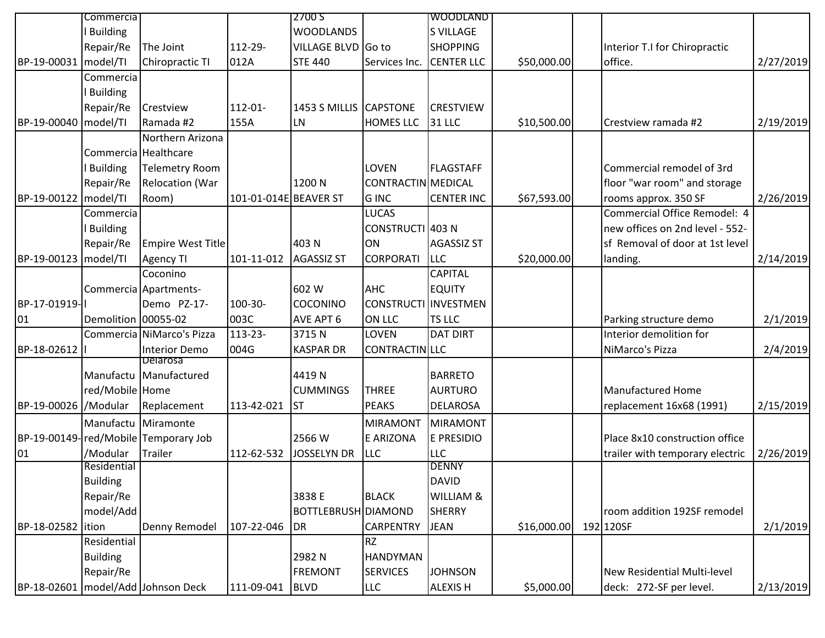|                        | Commercia           |                                        |                       | 2700 S              |                      | <b>WOODLAND</b>      |             |                                    |           |
|------------------------|---------------------|----------------------------------------|-----------------------|---------------------|----------------------|----------------------|-------------|------------------------------------|-----------|
|                        | <b>Building</b>     |                                        |                       | <b>WOODLANDS</b>    |                      | <b>S VILLAGE</b>     |             |                                    |           |
|                        | Repair/Re           | The Joint                              | 112-29-               | VILLAGE BLVD Go to  |                      | <b>SHOPPING</b>      |             | Interior T.I for Chiropractic      |           |
| BP-19-00031            | model/TI            | Chiropractic TI                        | 012A                  | <b>STE 440</b>      | Services Inc.        | <b>CENTER LLC</b>    | \$50,000.00 | office.                            | 2/27/2019 |
|                        | Commercia           |                                        |                       |                     |                      |                      |             |                                    |           |
|                        | <b>Building</b>     |                                        |                       |                     |                      |                      |             |                                    |           |
|                        | Repair/Re           | Crestview                              | 112-01-               | 1453 S MILLIS       | <b>CAPSTONE</b>      | <b>CRESTVIEW</b>     |             |                                    |           |
| BP-19-00040 model/TI   |                     | Ramada #2                              | 155A                  | LN                  | <b>HOMES LLC</b>     | 31 LLC               | \$10,500.00 | Crestview ramada #2                | 2/19/2019 |
|                        |                     | Northern Arizona                       |                       |                     |                      |                      |             |                                    |           |
|                        |                     | Commercia Healthcare                   |                       |                     |                      |                      |             |                                    |           |
|                        | <b>Building</b>     | Telemetry Room                         |                       |                     | LOVEN                | FLAGSTAFF            |             | Commercial remodel of 3rd          |           |
|                        | Repair/Re           | <b>Relocation (War</b>                 |                       | 1200N               | CONTRACTIN MEDICAL   |                      |             | floor "war room" and storage       |           |
| BP-19-00122 model/TI   |                     | Room)                                  | 101-01-014E BEAVER ST |                     | <b>GINC</b>          | <b>CENTER INC</b>    | \$67,593.00 | rooms approx. 350 SF               | 2/26/2019 |
|                        | Commercia           |                                        |                       |                     | <b>LUCAS</b>         |                      |             | Commercial Office Remodel: 4       |           |
|                        | <b>Building</b>     |                                        |                       |                     | CONSTRUCTI 403 N     |                      |             | new offices on 2nd level - 552-    |           |
|                        | Repair/Re           | Empire West Title                      |                       | 403N                | ON                   | <b>AGASSIZ ST</b>    |             | sf Removal of door at 1st level    |           |
| BP-19-00123   model/TI |                     | <b>Agency TI</b>                       | 101-11-012            | <b>AGASSIZ ST</b>   | <b>CORPORATI</b>     | <b>LLC</b>           | \$20,000.00 | landing.                           | 2/14/2019 |
|                        |                     | Coconino                               |                       |                     |                      | <b>CAPITAL</b>       |             |                                    |           |
|                        |                     | Commercia Apartments-                  |                       | 602 W               | <b>AHC</b>           | <b>EQUITY</b>        |             |                                    |           |
| BP-17-01919-           |                     | Demo PZ-17-                            | 100-30-               | COCONINO            | CONSTRUCTI INVESTMEN |                      |             |                                    |           |
| 01                     | Demolition 00055-02 |                                        | 003C                  | AVE APT 6           | <b>ON LLC</b>        | <b>TS LLC</b>        |             | Parking structure demo             | 2/1/2019  |
|                        |                     | Commercia NiMarco's Pizza              | 113-23-               | 3715N               | <b>LOVEN</b>         | <b>DAT DIRT</b>      |             | Interior demolition for            |           |
| BP-18-02612            |                     | Interior Demo                          | 004G                  | <b>KASPAR DR</b>    | CONTRACTIN LLC       |                      |             | NiMarco's Pizza                    | 2/4/2019  |
|                        |                     | Delarosa                               |                       |                     |                      |                      |             |                                    |           |
|                        |                     | Manufactu Manufactured                 |                       | 4419N               |                      | <b>BARRETO</b>       |             |                                    |           |
|                        | red/Mobile Home     |                                        |                       | <b>CUMMINGS</b>     | <b>THREE</b>         | <b>AURTURO</b>       |             | <b>Manufactured Home</b>           |           |
| BP-19-00026 / Modular  |                     | Replacement                            | 113-42-021            | <b>ST</b>           | <b>PEAKS</b>         | <b>DELAROSA</b>      |             | replacement 16x68 (1991)           | 2/15/2019 |
|                        |                     | Manufactu Miramonte                    |                       |                     | <b>MIRAMONT</b>      | MIRAMONT             |             |                                    |           |
|                        |                     | BP-19-00149-red/Mobile Temporary Job   |                       | 2566 W              | <b>E ARIZONA</b>     | <b>E PRESIDIO</b>    |             | Place 8x10 construction office     |           |
| 01                     | /Modular            | Trailer                                | 112-62-532            | <b>JOSSELYN DR</b>  | <b>LLC</b>           | <b>LLC</b>           |             | trailer with temporary electric    | 2/26/2019 |
|                        | Residential         |                                        |                       |                     |                      | <b>DENNY</b>         |             |                                    |           |
|                        | <b>Building</b>     |                                        |                       |                     |                      | DAVID                |             |                                    |           |
|                        | Repair/Re           |                                        |                       | 3838 E              | <b>BLACK</b>         | <b>WILLIAM &amp;</b> |             |                                    |           |
|                        | model/Add           |                                        |                       | BOTTLEBRUSH DIAMOND |                      | SHERRY               |             | room addition 192SF remodel        |           |
| BP-18-02582            | lition              | Denny Remodel                          | 107-22-046            | DR                  | <b>CARPENTRY</b>     | <b>JEAN</b>          | \$16,000.00 | 192 120SF                          | 2/1/2019  |
|                        | Residential         |                                        |                       |                     | <b>RZ</b>            |                      |             |                                    |           |
|                        | <b>Building</b>     |                                        |                       | 2982N               | <b>HANDYMAN</b>      |                      |             |                                    |           |
|                        | Repair/Re           |                                        |                       | <b>FREMONT</b>      | <b>SERVICES</b>      | <b>JOHNSON</b>       |             | <b>New Residential Multi-level</b> |           |
|                        |                     | BP-18-02601   model/Add   Johnson Deck | 111-09-041            | <b>BLVD</b>         | <b>LLC</b>           | <b>ALEXIS H</b>      | \$5,000.00  | deck: 272-SF per level.            | 2/13/2019 |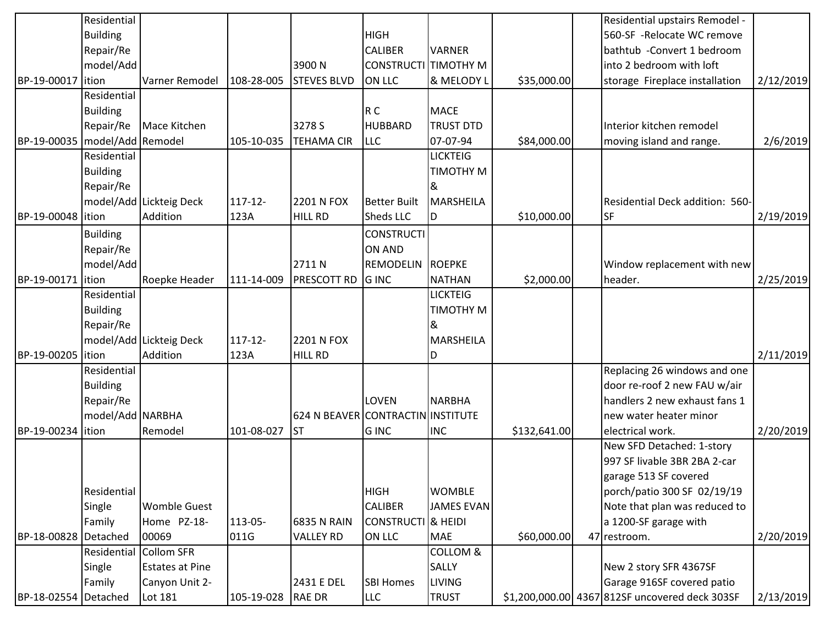|                                 | Residential      |                         |            |                                   |                     |                     |              | Residential upstairs Remodel -                 |           |
|---------------------------------|------------------|-------------------------|------------|-----------------------------------|---------------------|---------------------|--------------|------------------------------------------------|-----------|
|                                 | <b>Building</b>  |                         |            |                                   | <b>HIGH</b>         |                     |              | 560-SF -Relocate WC remove                     |           |
|                                 | Repair/Re        |                         |            |                                   | <b>CALIBER</b>      | <b>VARNER</b>       |              | bathtub - Convert 1 bedroom                    |           |
|                                 | model/Add        |                         |            | 3900N                             | <b>CONSTRUCTI</b>   | TIMOTHY M           |              | into 2 bedroom with loft                       |           |
| BP-19-00017 lition              |                  | Varner Remodel          | 108-28-005 | <b>STEVES BLVD</b>                | ON LLC              | & MELODY L          | \$35,000.00  | storage Fireplace installation                 | 2/12/2019 |
|                                 | Residential      |                         |            |                                   |                     |                     |              |                                                |           |
|                                 | <b>Building</b>  |                         |            |                                   | R C                 | <b>MACE</b>         |              |                                                |           |
|                                 | Repair/Re        | Mace Kitchen            |            | 3278 S                            | <b>HUBBARD</b>      | <b>TRUST DTD</b>    |              | Interior kitchen remodel                       |           |
| BP-19-00035   model/Add Remodel |                  |                         | 105-10-035 | <b>TEHAMA CIR</b>                 | <b>LLC</b>          | 07-07-94            | \$84,000.00  | moving island and range.                       | 2/6/2019  |
|                                 | Residential      |                         |            |                                   |                     | <b>LICKTEIG</b>     |              |                                                |           |
|                                 | <b>Building</b>  |                         |            |                                   |                     | TIMOTHY M           |              |                                                |           |
|                                 | Repair/Re        |                         |            |                                   |                     | &                   |              |                                                |           |
|                                 |                  | model/Add Lickteig Deck | 117-12-    | 2201 N FOX                        | <b>Better Built</b> | <b>MARSHEILA</b>    |              | Residential Deck addition: 560-                |           |
| BP-19-00048 lition              |                  | Addition                | 123A       | <b>HILL RD</b>                    | Sheds LLC           | ID                  | \$10,000.00  | <b>SF</b>                                      | 2/19/2019 |
|                                 | <b>Building</b>  |                         |            |                                   | <b>CONSTRUCTI</b>   |                     |              |                                                |           |
|                                 | Repair/Re        |                         |            |                                   | <b>ON AND</b>       |                     |              |                                                |           |
|                                 | model/Add        |                         |            | 2711N                             | REMODELIN           | <b>ROEPKE</b>       |              | Window replacement with new                    |           |
| BP-19-00171 lition              |                  | Roepke Header           | 111-14-009 | <b>PRESCOTT RD</b>                | <b>G</b> INC        | <b>NATHAN</b>       | \$2,000.00   | header.                                        | 2/25/2019 |
|                                 | Residential      |                         |            |                                   |                     | <b>LICKTEIG</b>     |              |                                                |           |
|                                 | <b>Building</b>  |                         |            |                                   |                     | <b>TIMOTHY M</b>    |              |                                                |           |
|                                 | Repair/Re        |                         |            |                                   |                     | &                   |              |                                                |           |
|                                 |                  | model/Add Lickteig Deck | 117-12-    | 2201 N FOX                        |                     | <b>MARSHEILA</b>    |              |                                                |           |
| BP-19-00205 lition              |                  | Addition                | 123A       | <b>HILL RD</b>                    |                     | D                   |              |                                                | 2/11/2019 |
|                                 | Residential      |                         |            |                                   |                     |                     |              | Replacing 26 windows and one                   |           |
|                                 | <b>Building</b>  |                         |            |                                   |                     |                     |              | door re-roof 2 new FAU w/air                   |           |
|                                 | Repair/Re        |                         |            |                                   | LOVEN               | <b>NARBHA</b>       |              | handlers 2 new exhaust fans 1                  |           |
|                                 | model/Add NARBHA |                         |            | 624 N BEAVER CONTRACTIN INSTITUTE |                     |                     |              | new water heater minor                         |           |
| BP-19-00234 lition              |                  | Remodel                 | 101-08-027 | <b>ST</b>                         | <b>G</b> INC        | <b>INC</b>          | \$132,641.00 | electrical work.                               | 2/20/2019 |
|                                 |                  |                         |            |                                   |                     |                     |              | New SFD Detached: 1-story                      |           |
|                                 |                  |                         |            |                                   |                     |                     |              | 997 SF livable 3BR 2BA 2-car                   |           |
|                                 |                  |                         |            |                                   |                     |                     |              | garage 513 SF covered                          |           |
|                                 | Residential      |                         |            |                                   | <b>HIGH</b>         | <b>WOMBLE</b>       |              | porch/patio 300 SF 02/19/19                    |           |
|                                 | Single           | <b>Womble Guest</b>     |            |                                   | <b>CALIBER</b>      | <b>JAMES EVAN</b>   |              | Note that plan was reduced to                  |           |
|                                 | Family           | Home PZ-18-             | 113-05-    | 6835 N RAIN                       | <b>CONSTRUCTI</b>   | & HEIDI             |              | a 1200-SF garage with                          |           |
| BP-18-00828 Detached            |                  | 00069                   | 011G       | <b>VALLEY RD</b>                  | ON LLC              | <b>MAE</b>          | \$60,000.00  | 47 restroom.                                   | 2/20/2019 |
|                                 | Residential      | Collom SFR              |            |                                   |                     | <b>COLLOM &amp;</b> |              |                                                |           |
|                                 | Single           | <b>Estates at Pine</b>  |            |                                   |                     | <b>SALLY</b>        |              | New 2 story SFR 4367SF                         |           |
|                                 | Family           | Canyon Unit 2-          |            | 2431 E DEL                        | <b>SBI Homes</b>    | <b>LIVING</b>       |              | Garage 916SF covered patio                     |           |
| BP-18-02554 Detached            |                  | Lot 181                 | 105-19-028 | <b>RAE DR</b>                     | <b>LLC</b>          | <b>TRUST</b>        |              | \$1,200,000.00 4367 812SF uncovered deck 303SF | 2/13/2019 |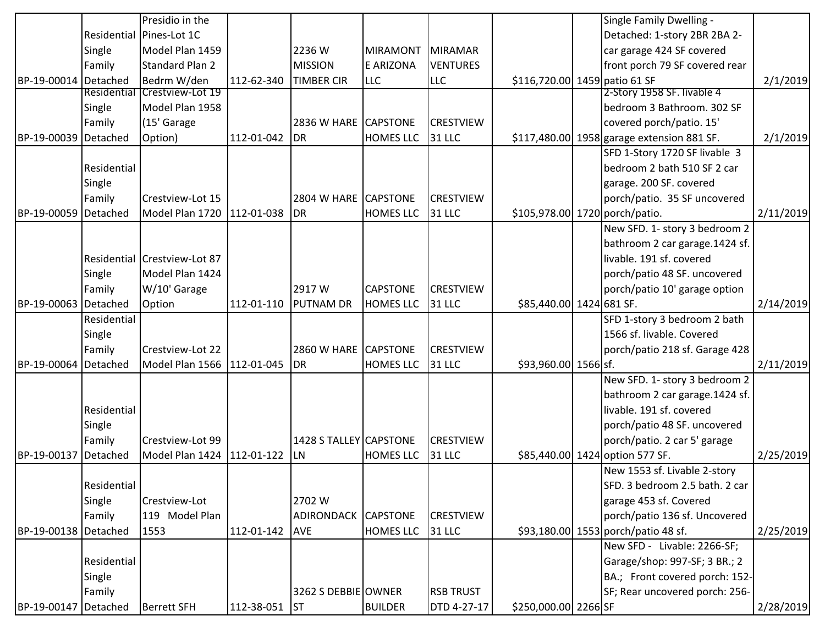|                      |             | Presidio in the              |                |                        |                  |                  |                               | Single Family Dwelling -                   |           |
|----------------------|-------------|------------------------------|----------------|------------------------|------------------|------------------|-------------------------------|--------------------------------------------|-----------|
|                      |             | Residential Pines-Lot 1C     |                |                        |                  |                  |                               | Detached: 1-story 2BR 2BA 2-               |           |
|                      | Single      | Model Plan 1459              |                | 2236W                  | MIRAMONT         | MIRAMAR          |                               | car garage 424 SF covered                  |           |
|                      | Family      | Standard Plan 2              |                | <b>MISSION</b>         | E ARIZONA        | <b>VENTURES</b>  |                               | front porch 79 SF covered rear             |           |
| BP-19-00014 Detached |             | Bedrm W/den                  | 112-62-340     | <b>TIMBER CIR</b>      | <b>LLC</b>       | <b>LLC</b>       | \$116,720.00 1459 patio 61 SF |                                            | 2/1/2019  |
|                      | Residential | Crestview-Lot 19             |                |                        |                  |                  |                               | 2-Story 1958 SF. livable 4                 |           |
|                      | Single      | Model Plan 1958              |                |                        |                  |                  |                               | bedroom 3 Bathroom. 302 SF                 |           |
|                      | Family      | (15' Garage                  |                | <b>2836 W HARE</b>     | <b>CAPSTONE</b>  | <b>CRESTVIEW</b> |                               | covered porch/patio. 15'                   |           |
| BP-19-00039 Detached |             | Option)                      | 112-01-042     | DR                     | <b>HOMES LLC</b> | 31 LLC           |                               | \$117,480.00 1958 garage extension 881 SF. | 2/1/2019  |
|                      |             |                              |                |                        |                  |                  |                               | SFD 1-Story 1720 SF livable 3              |           |
|                      | Residential |                              |                |                        |                  |                  |                               | bedroom 2 bath 510 SF 2 car                |           |
|                      | Single      |                              |                |                        |                  |                  |                               | garage. 200 SF. covered                    |           |
|                      | Family      | Crestview-Lot 15             |                | <b>2804 W HARE</b>     | <b>CAPSTONE</b>  | <b>CRESTVIEW</b> |                               | porch/patio. 35 SF uncovered               |           |
| BP-19-00059          | Detached    | Model Plan 1720              | 112-01-038 DR  |                        | <b>HOMES LLC</b> | 31 LLC           |                               | \$105,978.00 1720 porch/patio.             | 2/11/2019 |
|                      |             |                              |                |                        |                  |                  |                               | New SFD. 1- story 3 bedroom 2              |           |
|                      |             |                              |                |                        |                  |                  |                               | bathroom 2 car garage.1424 sf.             |           |
|                      |             | Residential Crestview-Lot 87 |                |                        |                  |                  |                               | livable. 191 sf. covered                   |           |
|                      | Single      | Model Plan 1424              |                |                        |                  |                  |                               | porch/patio 48 SF. uncovered               |           |
|                      | Family      | W/10' Garage                 |                | 2917 W                 | <b>CAPSTONE</b>  | <b>CRESTVIEW</b> |                               | porch/patio 10' garage option              |           |
| BP-19-00063 Detached |             | Option                       | 112-01-110     | <b>PUTNAM DR</b>       | <b>HOMES LLC</b> | 31 LLC           | \$85,440.00 1424 681 SF.      |                                            | 2/14/2019 |
|                      | Residential |                              |                |                        |                  |                  |                               | SFD 1-story 3 bedroom 2 bath               |           |
|                      | Single      |                              |                |                        |                  |                  |                               | 1566 sf. livable. Covered                  |           |
|                      | Family      | Crestview-Lot 22             |                | 2860 W HARE CAPSTONE   |                  | <b>CRESTVIEW</b> |                               | porch/patio 218 sf. Garage 428             |           |
| BP-19-00064          | Detached    | Model Plan 1566              | 112-01-045     | <b>DR</b>              | <b>HOMES LLC</b> | 31 LLC           | \$93,960.00 1566 sf.          |                                            | 2/11/2019 |
|                      |             |                              |                |                        |                  |                  |                               | New SFD. 1- story 3 bedroom 2              |           |
|                      |             |                              |                |                        |                  |                  |                               | bathroom 2 car garage.1424 sf.             |           |
|                      | Residential |                              |                |                        |                  |                  |                               | livable. 191 sf. covered                   |           |
|                      | Single      |                              |                |                        |                  |                  |                               | porch/patio 48 SF. uncovered               |           |
|                      | Family      | Crestview-Lot 99             |                | 1428 S TALLEY CAPSTONE |                  | <b>CRESTVIEW</b> |                               | porch/patio. 2 car 5' garage               |           |
| BP-19-00137          | Detached    | Model Plan 1424              | 112-01-122     | LN <sub></sub>         | <b>HOMES LLC</b> | 31 LLC           |                               | \$85,440.00 1424 option 577 SF.            | 2/25/2019 |
|                      |             |                              |                |                        |                  |                  |                               | New 1553 sf. Livable 2-story               |           |
|                      | Residential |                              |                |                        |                  |                  |                               | SFD. 3 bedroom 2.5 bath. 2 car             |           |
|                      | Single      | Crestview-Lot                |                | 2702 W                 |                  |                  |                               | garage 453 sf. Covered                     |           |
|                      | Family      | 119 Model Plan               |                | ADIRONDACK             | <b>CAPSTONE</b>  | <b>CRESTVIEW</b> |                               | porch/patio 136 sf. Uncovered              |           |
| BP-19-00138 Detached |             | 1553                         | 112-01-142 AVE |                        | <b>HOMES LLC</b> | 31 LLC           |                               | \$93,180.00 1553 porch/patio 48 sf.        | 2/25/2019 |
|                      |             |                              |                |                        |                  |                  |                               | New SFD - Livable: 2266-SF;                |           |
|                      | Residential |                              |                |                        |                  |                  |                               | Garage/shop: 997-SF; 3 BR.; 2              |           |
|                      | Single      |                              |                |                        |                  |                  |                               | BA.; Front covered porch: 152-             |           |
|                      | Family      |                              |                | 3262 S DEBBIE OWNER    |                  | <b>RSB TRUST</b> |                               | SF; Rear uncovered porch: 256-             |           |
| BP-19-00147 Detached |             | <b>Berrett SFH</b>           | 112-38-051 ST  |                        | <b>BUILDER</b>   | DTD 4-27-17      | \$250,000.00 2266 SF          |                                            | 2/28/2019 |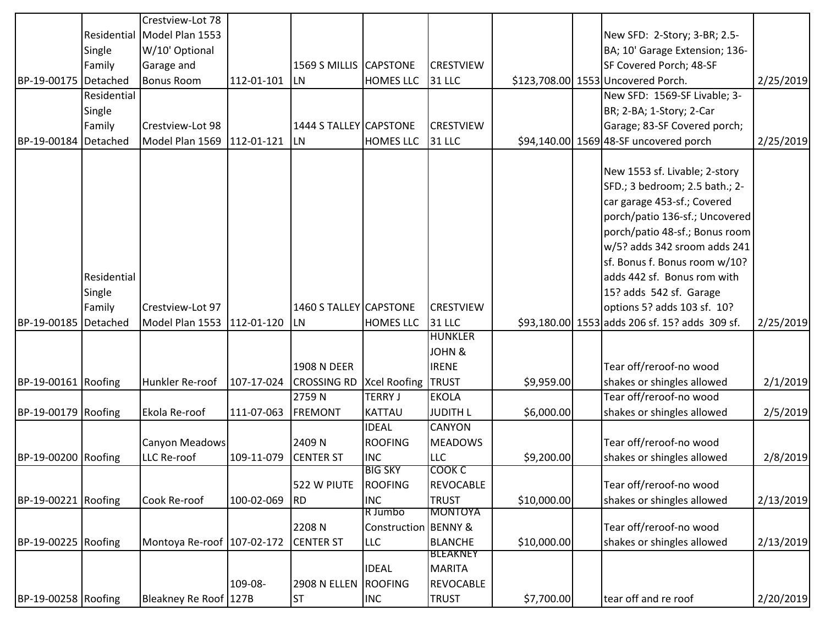|                      |             | Crestview-Lot 78            |               |                        |                           |                  |             |                                                |           |
|----------------------|-------------|-----------------------------|---------------|------------------------|---------------------------|------------------|-------------|------------------------------------------------|-----------|
|                      |             | Residential Model Plan 1553 |               |                        |                           |                  |             | New SFD: 2-Story; 3-BR; 2.5-                   |           |
|                      | Single      | W/10' Optional              |               |                        |                           |                  |             | BA; 10' Garage Extension; 136-                 |           |
|                      | Family      | Garage and                  |               | 1569 S MILLIS CAPSTONE |                           | <b>CRESTVIEW</b> |             | SF Covered Porch; 48-SF                        |           |
| BP-19-00175 Detached |             | <b>Bonus Room</b>           | 112-01-101 LN |                        | <b>HOMES LLC</b>          | 31 LLC           |             | \$123,708.00 1553 Uncovered Porch.             | 2/25/2019 |
|                      | Residential |                             |               |                        |                           |                  |             | New SFD: 1569-SF Livable; 3-                   |           |
|                      | Single      |                             |               |                        |                           |                  |             | BR; 2-BA; 1-Story; 2-Car                       |           |
|                      | Family      | Crestview-Lot 98            |               | 1444 S TALLEY CAPSTONE |                           | <b>CRESTVIEW</b> |             | Garage; 83-SF Covered porch;                   |           |
| BP-19-00184          | Detached    | Model Plan 1569             | 112-01-121    | <b>LN</b>              | <b>HOMES LLC</b>          | 31 LLC           |             | \$94,140.00 1569 48-SF uncovered porch         | 2/25/2019 |
|                      |             |                             |               |                        |                           |                  |             |                                                |           |
|                      |             |                             |               |                        |                           |                  |             | New 1553 sf. Livable; 2-story                  |           |
|                      |             |                             |               |                        |                           |                  |             | SFD.; 3 bedroom; 2.5 bath.; 2-                 |           |
|                      |             |                             |               |                        |                           |                  |             | car garage 453-sf.; Covered                    |           |
|                      |             |                             |               |                        |                           |                  |             | porch/patio 136-sf.; Uncovered                 |           |
|                      |             |                             |               |                        |                           |                  |             | porch/patio 48-sf.; Bonus room                 |           |
|                      |             |                             |               |                        |                           |                  |             | w/5? adds 342 sroom adds 241                   |           |
|                      |             |                             |               |                        |                           |                  |             | sf. Bonus f. Bonus room w/10?                  |           |
|                      | Residential |                             |               |                        |                           |                  |             | adds 442 sf. Bonus rom with                    |           |
|                      | Single      |                             |               |                        |                           |                  |             | 15? adds 542 sf. Garage                        |           |
|                      | Family      | Crestview-Lot 97            |               | 1460 S TALLEY CAPSTONE |                           | <b>CRESTVIEW</b> |             | options 5? adds 103 sf. 10?                    |           |
| BP-19-00185          | Detached    | Model Plan 1553             | 112-01-120    | <b>LN</b>              | <b>HOMES LLC</b>          | 31 LLC           |             | \$93,180.00 1553 adds 206 sf. 15? adds 309 sf. | 2/25/2019 |
|                      |             |                             |               |                        |                           | <b>HUNKLER</b>   |             |                                                |           |
|                      |             |                             |               |                        |                           | JOHN &           |             |                                                |           |
|                      |             |                             |               | 1908 N DEER            |                           | <b>IRENE</b>     |             | Tear off/reroof-no wood                        |           |
| BP-19-00161 Roofing  |             | Hunkler Re-roof             |               | 107-17-024 CROSSING RD | <b>Xcel Roofing TRUST</b> |                  | \$9,959.00  | shakes or shingles allowed                     | 2/1/2019  |
|                      |             |                             |               | 2759N                  | <b>TERRY J</b>            | <b>EKOLA</b>     |             | Tear off/reroof-no wood                        |           |
| BP-19-00179 Roofing  |             | Ekola Re-roof               | 111-07-063    | <b>FREMONT</b>         | KATTAU                    | <b>JUDITH L</b>  | \$6,000.00  | shakes or shingles allowed                     | 2/5/2019  |
|                      |             |                             |               |                        | <b>IDEAL</b>              | <b>CANYON</b>    |             |                                                |           |
|                      |             | Canyon Meadows              |               | 2409N                  | <b>ROOFING</b>            | <b>MEADOWS</b>   |             | Tear off/reroof-no wood                        |           |
| BP-19-00200 Roofing  |             | LLC Re-roof                 | 109-11-079    | <b>CENTER ST</b>       | <b>INC</b>                | <b>LLC</b>       | \$9,200.00  | shakes or shingles allowed                     | 2/8/2019  |
|                      |             |                             |               |                        | <b>BIG SKY</b>            | COOK C           |             |                                                |           |
|                      |             |                             |               | 522 W PIUTE            | ROOFING                   | REVOCABLE        |             | Tear off/reroof-no wood                        |           |
| BP-19-00221 Roofing  |             | Cook Re-roof                | 100-02-069    | RD                     | <b>INC</b>                | <b>TRUST</b>     | \$10,000.00 | shakes or shingles allowed                     | 2/13/2019 |
|                      |             |                             |               |                        | R Jumbo                   | <b>MONTOYA</b>   |             |                                                |           |
|                      |             |                             |               | 2208N                  | Construction BENNY &      |                  |             | Tear off/reroof-no wood                        |           |
| BP-19-00225 Roofing  |             | Montoya Re-roof 107-02-172  |               | <b>CENTER ST</b>       | <b>LLC</b>                | <b>BLANCHE</b>   | \$10,000.00 | shakes or shingles allowed                     | 2/13/2019 |
|                      |             |                             |               |                        |                           | <b>BLEAKNEY</b>  |             |                                                |           |
|                      |             |                             |               |                        | <b>IDEAL</b>              | MARITA           |             |                                                |           |
|                      |             |                             | 109-08-       | <b>2908 N ELLEN</b>    | ROOFING                   | <b>REVOCABLE</b> |             |                                                |           |
| BP-19-00258 Roofing  |             | Bleakney Re Roof 127B       |               | <b>ST</b>              | <b>INC</b>                | <b>TRUST</b>     | \$7,700.00  | tear off and re roof                           | 2/20/2019 |